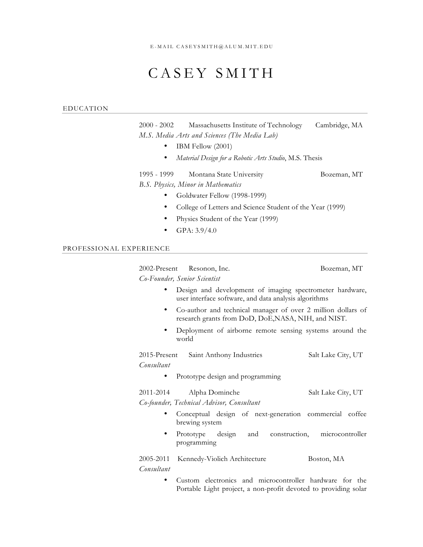## CASEY SMITH

## EDUCATION

2000 - 2002 Massachusetts Institute of Technology Cambridge, MA *M.S. Media Arts and Sciences (The Media Lab)*

- IBM Fellow (2001)
- *Material Design for a Robotic Arts Studio*, M.S. Thesis

1995 - 1999 Montana State University Bozeman, MT *B.S. Physics, Minor in Mathematics*

- Goldwater Fellow (1998-1999)
- College of Letters and Science Student of the Year (1999)
- Physics Student of the Year (1999)
- GPA:  $3.9/4.0$

## PROFESSIONAL EXPERIENCE

2002-Present Resonon, Inc. Bozeman, MT *Co-Founder, Senior Scientist*

- Design and development of imaging spectrometer hardware, user interface software, and data analysis algorithms
- Co-author and technical manager of over 2 million dollars of research grants from DoD, DoE,NASA, NIH, and NIST.
- Deployment of airborne remote sensing systems around the world

2015-Present Saint Anthony Industries Salt Lake City, UT *Consultant*

• Prototype design and programming

| 2011-2014<br>Alpha Dominche | Salt Lake City, UT |  |  |
|-----------------------------|--------------------|--|--|
|-----------------------------|--------------------|--|--|

*Co-founder, Technical Advisor, Consultant*

- Conceptual design of next-generation commercial coffee brewing system
- Prototype design and construction, microcontroller programming

2005-2011 Kennedy-Violich Architecture Boston, MA *Consultant*

> • Custom electronics and microcontroller hardware for the Portable Light project, a non-profit devoted to providing solar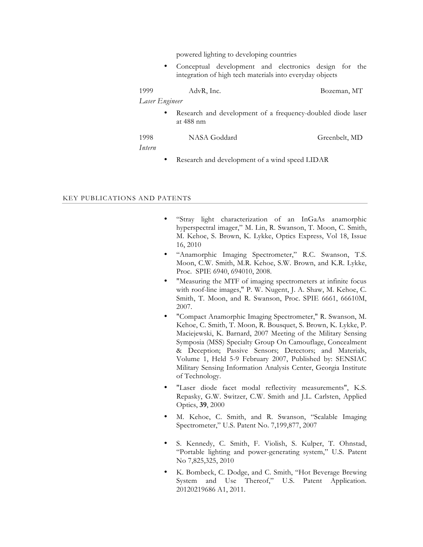powered lighting to developing countries

Conceptual development and electronics design for the integration of high tech materials into everyday objects

| 1999           | AdvR, Inc. |  |  | Bozeman, MT     |
|----------------|------------|--|--|-----------------|
| Laser Engineer |            |  |  |                 |
|                |            |  |  | 1 1 1 1 1 1 1 1 |

Research and development of a frequency-doubled diode laser at 488 nm

1998 NASA Goddard Greenbelt, MD

*Intern*

Research and development of a wind speed LIDAR

## KEY PUBLICATIONS AND PATENTS

- "Stray light characterization of an InGaAs anamorphic hyperspectral imager," M. Lin, R. Swanson, T. Moon, C. Smith, M. Kehoe, S. Brown, K. Lykke, Optics Express, Vol 18, Issue 16, 2010
- "Anamorphic Imaging Spectrometer," R.C. Swanson, T.S. Moon, C.W. Smith, M.R. Kehoe, S.W. Brown, and K.R. Lykke, Proc. SPIE 6940, 694010, 2008.
- "Measuring the MTF of imaging spectrometers at infinite focus with roof-line images," P. W. Nugent, J. A. Shaw, M. Kehoe, C. Smith, T. Moon, and R. Swanson, Proc. SPIE 6661, 66610M, 2007.
- "Compact Anamorphic Imaging Spectrometer," R. Swanson, M. Kehoe, C. Smith, T. Moon, R. Bousquet, S. Brown, K. Lykke, P. Maciejewski, K. Barnard, 2007 Meeting of the Military Sensing Symposia (MSS) Specialty Group On Camouflage, Concealment & Deception; Passive Sensors; Detectors; and Materials, Volume 1, Held 5-9 February 2007, Published by: SENSIAC Military Sensing Information Analysis Center, Georgia Institute of Technology.
- "Laser diode facet modal reflectivity measurements", K.S. Repasky, G.W. Switzer, C.W. Smith and J.L. Carlsten, Applied Optics, **39**, 2000
- M. Kehoe, C. Smith, and R. Swanson, "Scalable Imaging Spectrometer," U.S. Patent No. 7,199,877, 2007
- S. Kennedy, C. Smith, F. Violish, S. Kulper, T. Ohnstad, "Portable lighting and power-generating system," U.S. Patent No 7,825,325, 2010
- K. Bombeck, C. Dodge, and C. Smith, "Hot Beverage Brewing System and Use Thereof," U.S. Patent Application. 20120219686 A1, 2011.